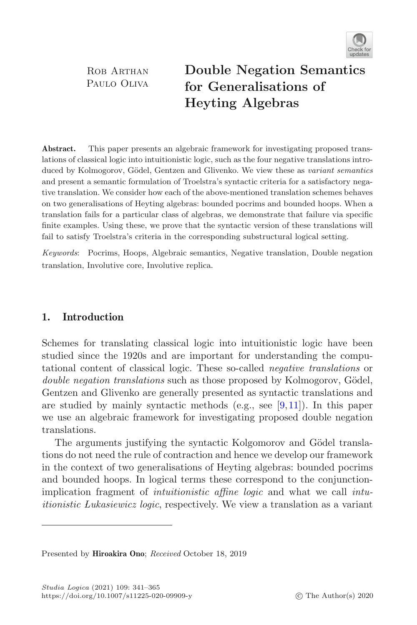

ROB ARTHAN PAULO OLIVA **Double Negation Semantics for Heyting Algebras Heyting Algebras**

**Abstract.** This paper presents an algebraic framework for investigating proposed translations of classical logic into intuitionistic logic, such as the four negative translations introduced by Kolmogorov, Gödel, Gentzen and Glivenko. We view these as *variant semantics* and present a semantic formulation of Troelstra's syntactic criteria for a satisfactory negative translation. We consider how each of the above-mentioned translation schemes behaves on two generalisations of Heyting algebras: bounded pocrims and bounded hoops. When a translation fails for a particular class of algebras, we demonstrate that failure via specific finite examples. Using these, we prove that the syntactic version of these translations will fail to satisfy Troelstra's criteria in the corresponding substructural logical setting.

*Keywords*: Pocrims, Hoops, Algebraic semantics, Negative translation, Double negation translation, Involutive core, Involutive replica.

# **1. Introduction**

Schemes for translating classical logic into intuitionistic logic have been studied since the 1920s and are important for understanding the computational content of classical logic. These so-called *negative translations* or *double negation translations* such as those proposed by Kolmogorov, Gödel, Gentzen and Glivenko are generally presented as syntactic translations and are studied by mainly syntactic methods (e.g., see [\[9,](#page-23-0)[11\]](#page-23-1)). In this paper we use an algebraic framework for investigating proposed double negation translations.

The arguments justifying the syntactic Kolgomorov and Gödel translations do not need the rule of contraction and hence we develop our framework in the context of two generalisations of Heyting algebras: bounded pocrims and bounded hoops. In logical terms these correspond to the conjunctionimplication fragment of *intuitionistic affine logic* and what we call *intuitionistic Lukasiewicz logic*, respectively. We view a translation as a variant

Presented by **Hiroakira Ono**; *Received* October 18, 2019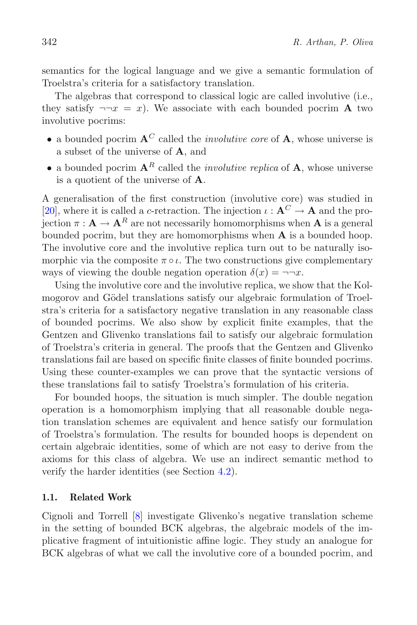semantics for the logical language and we give a semantic formulation of Troelstra's criteria for a satisfactory translation.

The algebras that correspond to classical logic are called involutive (i.e., they satisfy  $\neg\neg x = x$ ). We associate with each bounded pocrim **A** two involutive pocrims:

- a bounded pocrim **<sup>A</sup>***<sup>C</sup>* called the *involutive core* of **<sup>A</sup>**, whose universe is a subset of the universe of **A**, and
- a bounded pocrim  $A^R$  called the *involutive replica* of  $A$ , whose universe is a quotient of the universe of **A**.

A generalisation of the first construction (involutive core) was studied in [\[20](#page-23-2)], where it is called a c-retraction. The injection  $\iota : \mathbf{A}^C \to \mathbf{A}$  and the projection  $\pi : \mathbf{A} \to \mathbf{A}^R$  are not necessarily homomorphisms when **A** is a general bounded pocrim, but they are homomorphisms when **A** is a bounded hoop. The involutive core and the involutive replica turn out to be naturally isomorphic via the composite  $\pi \circ \iota$ . The two constructions give complementary ways of viewing the double negation operation  $\delta(x) = \neg \neg x$ .

Using the involutive core and the involutive replica, we show that the Kolmogorov and Gödel translations satisfy our algebraic formulation of Troelstra's criteria for a satisfactory negative translation in any reasonable class of bounded pocrims. We also show by explicit finite examples, that the Gentzen and Glivenko translations fail to satisfy our algebraic formulation of Troelstra's criteria in general. The proofs that the Gentzen and Glivenko translations fail are based on specific finite classes of finite bounded pocrims. Using these counter-examples we can prove that the syntactic versions of these translations fail to satisfy Troelstra's formulation of his criteria.

For bounded hoops, the situation is much simpler. The double negation operation is a homomorphism implying that all reasonable double negation translation schemes are equivalent and hence satisfy our formulation of Troelstra's formulation. The results for bounded hoops is dependent on certain algebraic identities, some of which are not easy to derive from the axioms for this class of algebra. We use an indirect semantic method to verify the harder identities (see Section [4.2\)](#page-19-0).

# **1.1. Related Work**

Cignoli and Torrell [\[8](#page-23-3)] investigate Glivenko's negative translation scheme in the setting of bounded BCK algebras, the algebraic models of the implicative fragment of intuitionistic affine logic. They study an analogue for BCK algebras of what we call the involutive core of a bounded pocrim, and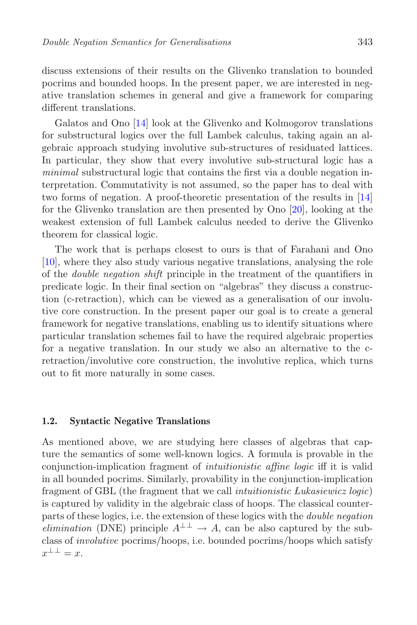discuss extensions of their results on the Glivenko translation to bounded pocrims and bounded hoops. In the present paper, we are interested in negative translation schemes in general and give a framework for comparing different translations.

Galatos and Ono [\[14\]](#page-23-4) look at the Glivenko and Kolmogorov translations for substructural logics over the full Lambek calculus, taking again an algebraic approach studying involutive sub-structures of residuated lattices. In particular, they show that every involutive sub-structural logic has a *minimal* substructural logic that contains the first via a double negation interpretation. Commutativity is not assumed, so the paper has to deal with two forms of negation. A proof-theoretic presentation of the results in [\[14](#page-23-4)] for the Glivenko translation are then presented by Ono [\[20\]](#page-23-2), looking at the weakest extension of full Lambek calculus needed to derive the Glivenko theorem for classical logic.

The work that is perhaps closest to ours is that of Farahani and Ono [\[10](#page-23-5)], where they also study various negative translations, analysing the role of the *double negation shift* principle in the treatment of the quantifiers in predicate logic. In their final section on "algebras" they discuss a construction (c-retraction), which can be viewed as a generalisation of our involutive core construction. In the present paper our goal is to create a general framework for negative translations, enabling us to identify situations where particular translation schemes fail to have the required algebraic properties for a negative translation. In our study we also an alternative to the cretraction/involutive core construction, the involutive replica, which turns out to fit more naturally in some cases.

# <span id="page-2-0"></span>**1.2. Syntactic Negative Translations**

As mentioned above, we are studying here classes of algebras that capture the semantics of some well-known logics. A formula is provable in the conjunction-implication fragment of *intuitionistic affine logic* iff it is valid in all bounded pocrims. Similarly, provability in the conjunction-implication fragment of GBL (the fragment that we call *intuitionistic Lukasiewicz logic*) is captured by validity in the algebraic class of hoops. The classical counterparts of these logics, i.e. the extension of these logics with the *double negation elimination* (DNE) principle  $A^{\perp \perp} \rightarrow A$ , can be also captured by the subclass of *involutive* pocrims/hoops, i.e. bounded pocrims/hoops which satisfy  $x^{\perp\perp}=x.$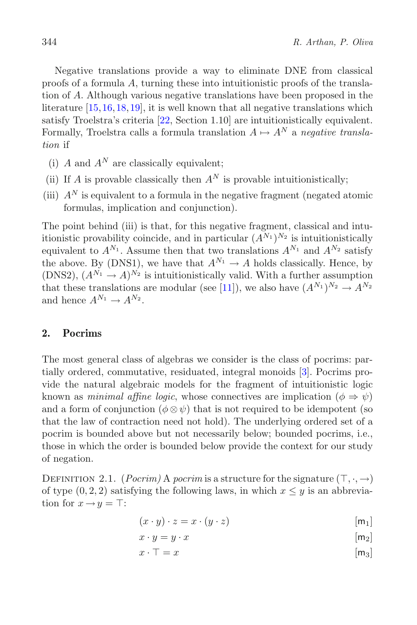Negative translations provide a way to eliminate DNE from classical proofs of a formula A, turning these into intuitionistic proofs of the translation of A. Although various negative translations have been proposed in the literature [\[15](#page-23-6)[,16](#page-23-7)[,18](#page-23-8)[,19](#page-23-9)], it is well known that all negative translations which satisfy Troelstra's criteria [\[22,](#page-23-10) Section 1.10] are intuitionistically equivalent. Formally, Troelstra calls a formula translation  $A \mapsto A^N$  a *negative translation* if

- (i) A and  $A^N$  are classically equivalent:
- (ii) If A is provable classically then  $A^N$  is provable intuitionistically;
- (iii)  $A<sup>N</sup>$  is equivalent to a formula in the negative fragment (negated atomic formulas, implication and conjunction).

The point behind (iii) is that, for this negative fragment, classical and intuitionistic provability coincide, and in particular  $(A^{N_1})^{N_2}$  is intuitionistically equivalent to  $A^{N_1}$ . Assume then that two translations  $A^{N_1}$  and  $A^{N_2}$  satisfy the above. By (DNS1), we have that  $A^{N_1} \to A$  holds classically. Hence, by (DNS2),  $(A^{N_1} \rightarrow A)^{N_2}$  is intuitionistically valid. With a further assumption that these translations are modular (see [\[11\]](#page-23-1)), we also have  $(A^{N_1})^{N_2} \to A^{N_2}$ and hence  $A^{N_1} \rightarrow A^{N_2}$ .

# **2. Pocrims**

The most general class of algebras we consider is the class of pocrims: partially ordered, commutative, residuated, integral monoids [\[3\]](#page-22-0). Pocrims provide the natural algebraic models for the fragment of intuitionistic logic known as *minimal affine logic*, whose connectives are implication  $(\phi \Rightarrow \psi)$ and a form of conjunction ( $\phi \otimes \psi$ ) that is not required to be idempotent (so that the law of contraction need not hold). The underlying ordered set of a pocrim is bounded above but not necessarily below; bounded pocrims, i.e., those in which the order is bounded below provide the context for our study of negation.

DEFINITION 2.1. (*Pocrim*) A *pocrim* is a structure for the signature  $(\top, \cdot, \to)$ of type  $(0, 2, 2)$  satisfying the following laws, in which  $x \leq y$  is an abbreviation for  $x \rightarrow y = \top$ :

$$
(x \cdot y) \cdot z = x \cdot (y \cdot z) \tag{m_1}
$$

$$
x \cdot y = y \cdot x \qquad [m_2]
$$

$$
x \cdot \top = x \tag{m_3}
$$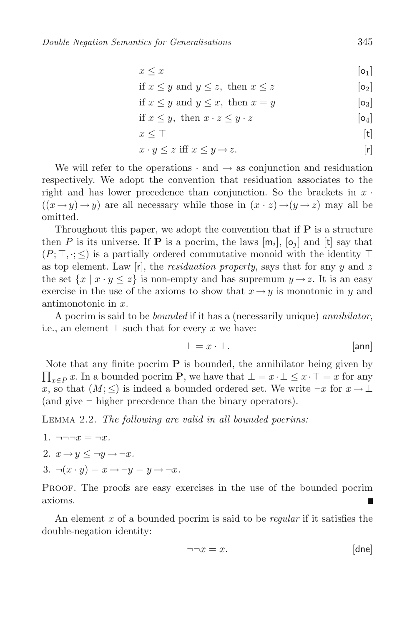$$
x \leq x \tag{91}
$$

$$
\text{if } x \le y \text{ and } y \le z, \text{ then } x \le z \tag{92}
$$

if 
$$
x \le y
$$
 and  $y \le x$ , then  $x = y$  [o<sub>3</sub>]

if 
$$
x \leq y
$$
, then  $x \cdot z \leq y \cdot z$  [o<sub>4</sub>]

$$
x \leq \top
$$
 [t]

$$
x \cdot y \le z \text{ iff } x \le y \to z. \tag{r}
$$

We will refer to the operations  $\cdot$  and  $\rightarrow$  as conjunction and residuation respectively. We adopt the convention that residuation associates to the right and has lower precedence than conjunction. So the brackets in  $x$ .  $((x \rightarrow y) \rightarrow y)$  are all necessary while those in  $(x \cdot z) \rightarrow (y \rightarrow z)$  may all be omitted.

Throughout this paper, we adopt the convention that if **P** is a structure then P is its universe. If **P** is a pocrim, the laws  $[m_i]$ ,  $[\mathfrak{o}_i]$  and  $[t]$  say that  $(P; \top, \cdot; \leq)$  is a partially ordered commutative monoid with the identity  $\top$ as top element. Law  $[r]$ , the *residuation property*, says that for any y and z the set  $\{x \mid x \cdot y \leq z\}$  is non-empty and has supremum  $y \to z$ . It is an easy exercise in the use of the axioms to show that  $x \rightarrow y$  is monotonic in y and antimonotonic in x.

A pocrim is said to be *bounded* if it has a (necessarily unique) *annihilator*, i.e., an element  $\perp$  such that for every x we have:

$$
\bot = x \cdot \bot. \tag{ann}
$$

Note that any finite pocrim  $P$  is bounded, the annihilator being given by  $\prod_{x \in P} x$ . In a bounded pocrim **P**, we have that  $\bot = x \cdot \bot \leq x \cdot \top = x$  for any x, so that  $(M; \leq)$  is indeed a bounded ordered set. We write  $\neg x$  for  $x \to \perp$ (and give  $\neg$  higher precedence than the binary operators).

<span id="page-4-0"></span>Lemma 2.2. *The following are valid in all bounded pocrims:*

- 1.  $\neg\neg x = \neg x$ .
- 2.  $x \rightarrow y \leq \neg y \rightarrow \neg x$ .
- 3.  $\neg(x \cdot y) = x \rightarrow \neg y = y \rightarrow \neg x$ .

Proof. The proofs are easy exercises in the use of the bounded pocrim axioms.

An element x of a bounded pocrim is said to be *regular* if it satisfies the double-negation identity:

$$
\neg \neg x = x. \qquad \qquad [\text{dne}]
$$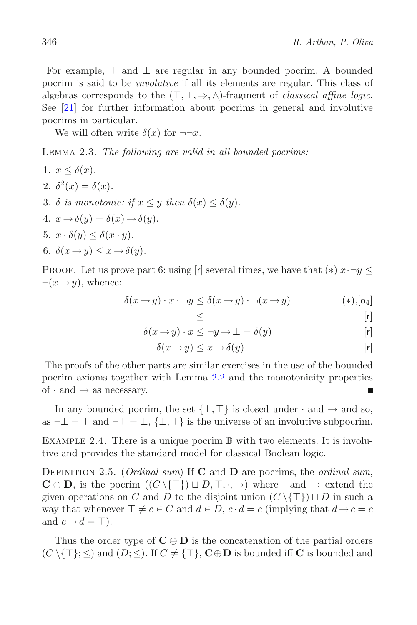For example,  $\top$  and  $\bot$  are regular in any bounded pocrim. A bounded pocrim is said to be *involutive* if all its elements are regular. This class of algebras corresponds to the  $(T, \perp, \Rightarrow, \wedge)$ -fragment of *classical affine logic*. See [\[21\]](#page-23-11) for further information about pocrims in general and involutive pocrims in particular.

<span id="page-5-0"></span>We will often write  $\delta(x)$  for  $\neg\neg x$ .

Lemma 2.3. *The following are valid in all bounded pocrims:*

\n- 1. 
$$
x \leq \delta(x)
$$
.
\n- 2.  $\delta^2(x) = \delta(x)$ .
\n- 3.  $\delta$  is monotonic: if  $x \leq y$  then  $\delta(x) \leq \delta(y)$ .
\n- 4.  $x \rightarrow \delta(y) = \delta(x) \rightarrow \delta(y)$ .
\n- 5.  $x \cdot \delta(y) \leq \delta(x \cdot y)$ .
\n- 6.  $\delta(x \rightarrow y) \leq x \rightarrow \delta(y)$ .
\n

PROOF. Let us prove part 6: using [r] several times, we have that  $(*) x \cdot \neg y \leq$  $\neg(x \rightarrow y)$ , whence:

$$
\delta(x \to y) \cdot x \cdot \neg y \le \delta(x \to y) \cdot \neg(x \to y) \tag{*,[o_4]}
$$

$$
\leq \bot \qquad \qquad [r]
$$

$$
\delta(x \to y) \cdot x \leq \neg y \to \bot = \delta(y) \tag{r}
$$

$$
\delta(x \to y) \leq x \to \delta(y) \tag{r}
$$

The proofs of the other parts are similar exercises in the use of the bounded pocrim axioms together with Lemma [2.2](#page-4-0) and the monotonicity properties of  $\cdot$  and  $\rightarrow$  as necessary.

In any bounded pocrim, the set  $\{\perp, \top\}$  is closed under  $\cdot$  and  $\rightarrow$  and so, as  $\neg \bot = \top$  and  $\neg \top = \bot$ ,  $\{\bot, \top\}$  is the universe of an involutive subpocrim.

EXAMPLE 2.4. There is a unique pocrim  $\mathbb B$  with two elements. It is involutive and provides the standard model for classical Boolean logic.

Definition 2.5. (*Ordinal sum*) If **C** and **D** are pocrims, the *ordinal sum*,  $\mathbf{C} \oplus \mathbf{D}$ , is the pocrim  $((C \setminus \{T\}) \sqcup D, T, \cdot, \rightarrow)$  where  $\cdot$  and  $\rightarrow$  extend the given operations on C and D to the disjoint union  $(C \setminus \{T\}) \sqcup D$  in such a way that whenever  $\top \neq c \in C$  and  $d \in D$ ,  $c \cdot d = c$  (implying that  $d \rightarrow c = c$ and  $c \rightarrow d = \top$ ).

Thus the order type of  $C \oplus D$  is the concatenation of the partial orders  $(C \setminus \{T\}; \leq)$  and  $(D; \leq)$ . If  $C \neq \{T\}$ ,  $C \oplus D$  is bounded iff C is bounded and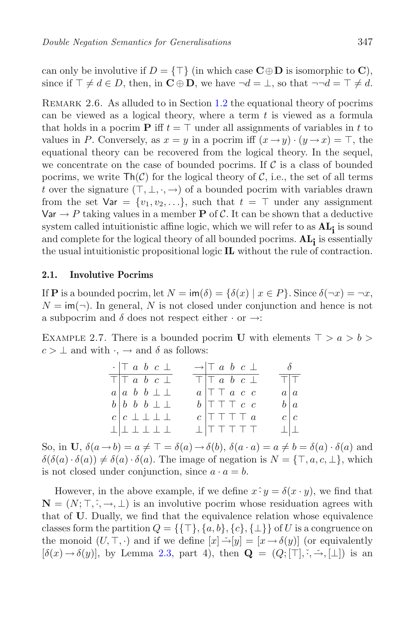can only be involutive if  $D = \{\top\}$  (in which case  $\mathbf{C} \oplus \mathbf{D}$  is isomorphic to  $\mathbf{C}$ ), since if  $\top \neq d \in D$ , then, in  $\mathbf{C} \oplus \mathbf{D}$ , we have  $\neg d = \bot$ , so that  $\neg \neg d = \top \neq d$ .

REMARK 2.6. As alluded to in Section [1.2](#page-2-0) the equational theory of pocrims can be viewed as a logical theory, where a term  $t$  is viewed as a formula that holds in a pocrim **P** iff  $t = \top$  under all assignments of variables in t to values in P. Conversely, as  $x = y$  in a pocrim iff  $(x \to y) \cdot (y \to x) = \top$ , the equational theory can be recovered from the logical theory. In the sequel, we concentrate on the case of bounded pocrims. If  $\mathcal C$  is a class of bounded pocrims, we write  $\text{Th}(\mathcal{C})$  for the logical theory of  $\mathcal{C}$ , i.e., the set of all terms t over the signature  $(\top, \bot, \cdot, \rightarrow)$  of a bounded pocrim with variables drawn from the set  $\forall$ ar = { $v_1, v_2, \ldots$ }, such that  $t = \top$  under any assignment  $\forall$ ar  $\rightarrow$  P taking values in a member **P** of C. It can be shown that a deductive system called intuitionistic affine logic, which we will refer to as **ALi** is sound and complete for the logical theory of all bounded pocrims. **ALi** is essentially the usual intuitionistic propositional logic **IL** without the rule of contraction.

### **2.1. Involutive Pocrims**

If **P** is a bounded pocrim, let  $N = \text{im}(\delta) = {\delta(x) | x \in P}$ . Since  $\delta(\neg x) = \neg x$ ,  $N = \text{im}(\neg)$ . In general, N is not closed under conjunction and hence is not a subpocrim and  $\delta$  does not respect either  $\cdot$  or  $\rightarrow$ :

<span id="page-6-0"></span>EXAMPLE 2.7. There is a bounded pocrim **U** with elements  $\top > a > b$  $c > \perp$  and with  $\cdot, \rightarrow$  and  $\delta$  as follows:

| $\cdot$ $\vert \top$ a b c $\bot$          | $\rightarrow$ $\top$ a b c $\bot$               | $\delta$           |
|--------------------------------------------|-------------------------------------------------|--------------------|
| $T$ $\overline{\perp}$ $a$ $b$ $c$ $\perp$ | $T T a b c \perp$                               | $T$ $\overline{T}$ |
| $a \mid a \mid b \mid b \perp \perp$       | $a \vert \top \top a \ c \ c$                   | a a                |
| $b \mid b \mid b \mid b \perp \perp$       | $b \vert \top \top \top c \ c$                  | $b \mid a$         |
| $c \mid c \perp \perp \perp \perp$         | $c$ $\top$ $\top$ $\top$ $\top$ $a$             | $c \mid c$         |
| $\bot   \bot \bot \bot \bot \bot$          | $\perp$ $\parallel$ $\top$ $\top$ $\top$ $\top$ | $\perp$ $\perp$    |

So, in **U**,  $\delta(a \rightarrow b) = a \neq \top = \delta(a) \rightarrow \delta(b)$ ,  $\delta(a \cdot a) = a \neq b = \delta(a) \cdot \delta(a)$  and  $\delta(\delta(a)\cdot\delta(a)) \neq \delta(a)\cdot\delta(a)$ . The image of negation is  $N = \{\top, a, c, \bot\}$ , which is not closed under conjunction, since  $a \cdot a = b$ .

However, in the above example, if we define  $x \hat{\cdot} y = \delta(x \cdot y)$ , we find that  $\mathbf{N} = (N; \top, \hat{\cdot}, \rightarrow, \bot)$  is an involutive pocrim whose residuation agrees with that of **U**. Dually, we find that the equivalence relation whose equivalence classes form the partition  $Q = \{\{\top\}, \{a, b\}, \{c\}, \{\bot\}\}\$  of U is a congruence on the monoid  $(U, \top, \cdot)$  and if we define  $[x] \rightarrow [y] = [x \rightarrow \delta(y)]$  (or equivalently  $[\delta(x) \rightarrow \delta(y)]$ , by Lemma [2.3,](#page-5-0) part 4), then  $\mathbf{Q} = (Q; [\top], \cdot, \div, [\bot])$  is an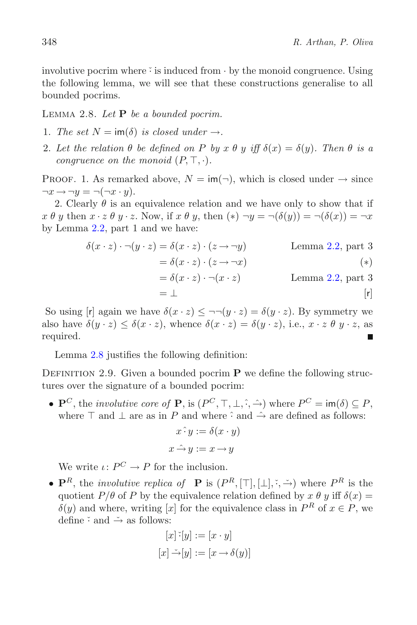involutive pocrim where  $\ddot{\cdot}$  is induced from  $\cdot$  by the monoid congruence. Using the following lemma, we will see that these constructions generalise to all bounded pocrims.

<span id="page-7-0"></span>Lemma 2.8. *Let* **P** *be a bounded pocrim.*

- 1. The set  $N = \text{im}(\delta)$  is closed under  $\rightarrow$ .
- 2. Let the relation  $\theta$  be defined on P by  $x \theta y$  iff  $\delta(x) = \delta(y)$ . Then  $\theta$  is a *congruence on the monoid*  $(P, \top, \cdot)$ *.*

PROOF. 1. As remarked above,  $N = \text{im}(\neg)$ , which is closed under  $\rightarrow$  since  $\neg x \rightarrow \neg y = \neg(\neg x \cdot y).$ 

2. Clearly  $\theta$  is an equivalence relation and we have only to show that if  $x \theta y$  then  $x \cdot z \theta y \cdot z$ . Now, if  $x \theta y$ , then  $(*) \neg y = \neg(\delta(y)) = \neg(\delta(x)) = \neg x$ by Lemma [2.2,](#page-4-0) part 1 and we have:

$$
\delta(x \cdot z) \cdot \neg(y \cdot z) = \delta(x \cdot z) \cdot (z \rightarrow \neg y) \qquad \text{Lemma 2.2, part 3}
$$
  
=  $\delta(x \cdot z) \cdot (z \rightarrow \neg x)$  (\*)  
=  $\delta(x \cdot z) \cdot \neg(x \cdot z)$  Lemma 2.2, part 3  
=  $\bot$  [r]

So using [r] again we have  $\delta(x \cdot z) \leq \neg \neg (y \cdot z) = \delta(y \cdot z)$ . By symmetry we also have  $\delta(y \cdot z) \leq \delta(x \cdot z)$ , whence  $\delta(x \cdot z) = \delta(y \cdot z)$ , i.e.,  $x \cdot z \theta y \cdot z$ , as required.

Lemma [2.8](#page-7-0) justifies the following definition:

DEFINITION 2.9. Given a bounded pocrim **P** we define the following structures over the signature of a bounded pocrim:

•  $\mathbf{P}^C$ , the *involutive core of*  $\mathbf{P}$ , is  $(P^C, \top, \bot, \hat{\cdot}, \hat{\rightarrow})$  where  $P^C = \mathsf{im}(\delta) \subseteq P$ , where  $\top$  and  $\bot$  are as in P and where  $\hat{\cdot}$  and  $\hat{\rightarrow}$  are defined as follows:

$$
x \hat{\cdot} y := \delta(x \cdot y)
$$

$$
x \hat{\rightarrow} y := x \rightarrow y
$$

We write  $\iota: P^C \to P$  for the inclusion.

•  $\mathbf{P}^R$ , the *involutive replica of*  $\mathbf{P}$  is  $(P^R, [\top], [\bot], \cdot, \cdot)$  where  $P^R$  is the quotient  $P/\theta$  of P by the equivalence relation defined by  $x \theta y$  iff  $\delta(x) =$  $\delta(y)$  and where, writing [x] for the equivalence class in  $P^R$  of  $x \in P$ , we define  $\check{\cdot}$  and  $\check{\rightarrow}$  as follows:

$$
[x] \tilde{f}[y] := [x \cdot y]
$$

$$
[x] \tilde{\rightarrow} [y] := [x \rightarrow \delta(y)]
$$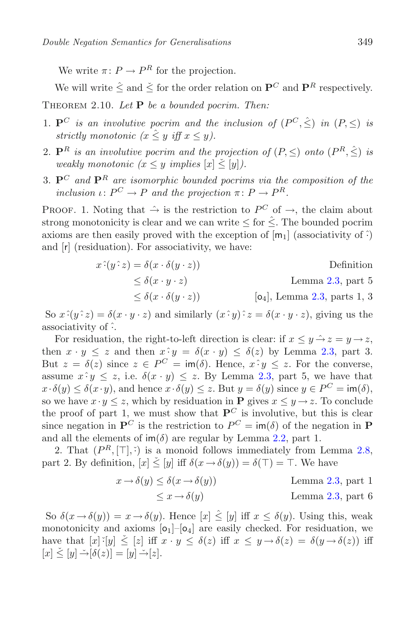We write  $\pi: P \to P^R$  for the projection.

<span id="page-8-0"></span>We will write  $\hat{\le}$  and  $\check{\le}$  for the order relation on  $\mathbf{P}^C$  and  $\mathbf{P}^R$  respectively. Theorem 2.10. *Let* **P** *be a bounded pocrim. Then:*

- 1.  $\mathbf{P}^C$  *is an involutive pocrim and the inclusion of*  $(P^C, \hat{\le})$  *in*  $(P, \le)$  *is strictly monotonic*  $(x \leq y \text{ iff } x \leq y)$ *.*
- 2.  $\mathbf{P}^R$  *is an involutive pocrim and the projection of*  $(P, \leq)$  *onto*  $(P^R, \leq)$  *is weakly monotonic*  $(x \leq y \implies |x| \leq |y|)$ *.*
- 3. **P***<sup>C</sup> and* **P***<sup>R</sup> are isomorphic bounded pocrims via the composition of the inclusion*  $\iota: P^C \to P$  *and the projection*  $\pi: P \to P^R$ *.*

PROOF. 1. Noting that  $\hat{\rightarrow}$  is the restriction to  $P^C$  of  $\rightarrow$ , the claim about strong monotonicity is clear and we can write  $\leq$  for  $\hat{\leq}$ . The bounded pocrim axioms are then easily proved with the exception of  $[m_1]$  (associativity of  $\hat{\cdot}$ ) and [r] (residuation). For associativity, we have:

$$
x^2(y^2 z) = \delta(x \cdot \delta(y \cdot z))
$$
Definition  
\n
$$
\leq \delta(x \cdot y \cdot z)
$$
Lemma 2.3, part 5  
\n
$$
\leq \delta(x \cdot \delta(y \cdot z))
$$
 [o<sub>4</sub>], Lemma 2.3, parts 1, 3

So  $x \hat{.} (y \hat{.} z) = \delta(x \cdot y \cdot z)$  and similarly  $(x \hat{.} y) \hat{.} z = \delta(x \cdot y \cdot z)$ , giving us the associativity of ˆ·.

For residuation, the right-to-left direction is clear: if  $x \leq y \rightarrow z = y \rightarrow z$ , then  $x \cdot y \leq z$  and then  $x \cdot y = \delta(x \cdot y) \leq \delta(z)$  by Lemma [2.3,](#page-5-0) part 3. But  $z = \delta(z)$  since  $z \in P^C = \text{im}(\delta)$ . Hence,  $x \hat{y} \leq z$ . For the converse, assume  $x \hat{i} y \leq z$ , i.e.  $\delta(x \cdot y) \leq z$ . By Lemma [2.3,](#page-5-0) part 5, we have that  $x \cdot \delta(y) \leq \delta(x \cdot y)$ , and hence  $x \cdot \delta(y) \leq z$ . But  $y = \delta(y)$  since  $y \in P^C = \text{im}(\delta)$ , so we have  $x \cdot y \leq z$ , which by residuation in **P** gives  $x \leq y \rightarrow z$ . To conclude the proof of part 1, we must show that  $P^C$  is involutive, but this is clear since negation in  $\mathbf{P}^C$  is the restriction to  $P^C = \text{im}(\delta)$  of the negation in **P** and all the elements of  $\text{im}(\delta)$  are regular by Lemma [2.2,](#page-4-0) part 1.

2. That  $(P^R, [\top], \tilde{\cdot})$  is a monoid follows immediately from Lemma [2.8,](#page-7-0) part 2. By definition,  $[x] \leq [y]$  iff  $\delta(x \to \delta(y)) = \delta(\top) = \top$ . We have

$$
x \to \delta(y) \le \delta(x \to \delta(y))
$$
 Lemma 2.3, part 1  

$$
\le x \to \delta(y)
$$
 Lemma 2.3, part 6

So  $\delta(x \to \delta(y)) = x \to \delta(y)$ . Hence  $[x] \leq [y]$  iff  $x \leq \delta(y)$ . Using this, weak monotonicity and axioms  $[0_1]-[0_4]$  are easily checked. For residuation, we have that  $[x]~\check{~} [y] \leq [z]$  iff  $x \cdot y \leq \delta(z)$  iff  $x \leq y \rightarrow \delta(z) = \delta(y \rightarrow \delta(z))$  iff  $[x] \leq [y] \rightarrow [\delta(z)] = [y] \rightarrow [z].$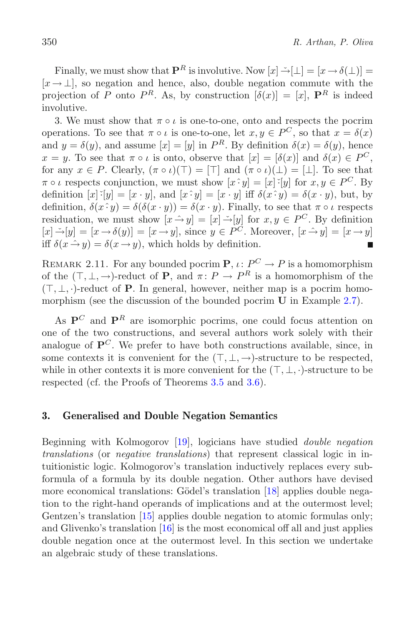Finally, we must show that  $\mathbf{P}^R$  is involutive. Now  $[x] \stackrel{\sim}{\rightarrow} [\perp] = [x \rightarrow \delta(\perp)] =$  $[x \rightarrow \perp]$ , so negation and hence, also, double negation commute with the projection of P onto  $P^R$ . As, by construction  $[\delta(x)] = [x]$ ,  $\mathbf{P}^R$  is indeed involutive.

3. We must show that  $\pi \circ \iota$  is one-to-one, onto and respects the pocrim operations. To see that  $\pi \circ \iota$  is one-to-one, let  $x, y \in P^C$ , so that  $x = \delta(x)$ and  $y = \delta(y)$ , and assume  $[x] = [y]$  in  $P^R$ . By definition  $\delta(x) = \delta(y)$ , hence  $x = y$ . To see that  $\pi \circ \iota$  is onto, observe that  $[x] = [\delta(x)]$  and  $\delta(x) \in P^C$ , for any  $x \in P$ . Clearly,  $(\pi \circ \iota)(\top)=[\top]$  and  $(\pi \circ \iota)(\bot)=[\bot]$ . To see that  $\pi \circ \iota$  respects conjunction, we must show  $[x \hat{;} y] = [x] \hat{;} [y]$  for  $x, y \in P^C$ . By definition  $[x\cdot y] = [x \cdot y]$ , and  $[x \cdot y] = [x \cdot y]$  iff  $\delta(x \cdot y) = \delta(x \cdot y)$ , but, by definition,  $\delta(x \cdot y) = \delta(\delta(x \cdot y)) = \delta(x \cdot y)$ . Finally, to see that  $\pi \circ \iota$  respects residuation, we must show  $[x \hat{\rightarrow} y] = [x] \check{\rightarrow} [y]$  for  $x, y \in P^C$ . By definition  $[x] \rightarrow [y] = [x \rightarrow \delta(y)] = [x \rightarrow y]$ , since  $y \in P^{\tilde{C}}$ . Moreover,  $[x \rightarrow y] = [x \rightarrow y]$ iff  $\delta(x \hat{\rightarrow} y) = \delta(x \rightarrow y)$ , which holds by definition.

<span id="page-9-0"></span>REMARK 2.11. For any bounded pocrim **P**,  $\iota: P^C \to P$  is a homomorphism of the  $(T, \perp, \rightarrow)$ -reduct of **P**, and  $\pi: P \rightarrow P^R$  is a homomorphism of the  $(T, \perp, \cdot)$ -reduct of **P**. In general, however, neither map is a pocrim homomorphism (see the discussion of the bounded pocrim **U** in Example [2.7\)](#page-6-0).

As  $P^C$  and  $P^R$  are isomorphic pocrims, one could focus attention on one of the two constructions, and several authors work solely with their analogue of  $P^C$ . We prefer to have both constructions available, since, in some contexts it is convenient for the  $(T, \perp, \rightarrow)$ -structure to be respected, while in other contexts it is more convenient for the  $(\top, \bot, \cdot)$ -structure to be respected (cf. the Proofs of Theorems [3.5](#page-12-0) and [3.6\)](#page-13-0).

# **3. Generalised and Double Negation Semantics**

Beginning with Kolmogorov [\[19\]](#page-23-9), logicians have studied *double negation translations* (or *negative translations*) that represent classical logic in intuitionistic logic. Kolmogorov's translation inductively replaces every subformula of a formula by its double negation. Other authors have devised more economical translations: Gödel's translation [\[18\]](#page-23-8) applies double negation to the right-hand operands of implications and at the outermost level; Gentzen's translation [\[15](#page-23-6)] applies double negation to atomic formulas only; and Glivenko's translation [\[16\]](#page-23-7) is the most economical off all and just applies double negation once at the outermost level. In this section we undertake an algebraic study of these translations.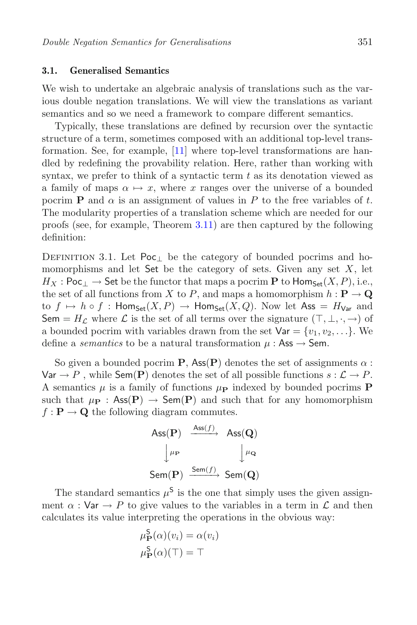#### **3.1. Generalised Semantics**

We wish to undertake an algebraic analysis of translations such as the various double negation translations. We will view the translations as variant semantics and so we need a framework to compare different semantics.

Typically, these translations are defined by recursion over the syntactic structure of a term, sometimes composed with an additional top-level transformation. See, for example, [\[11\]](#page-23-1) where top-level transformations are handled by redefining the provability relation. Here, rather than working with syntax, we prefer to think of a syntactic term  $t$  as its denotation viewed as a family of maps  $\alpha \mapsto x$ , where x ranges over the universe of a bounded pocrim **P** and  $\alpha$  is an assignment of values in P to the free variables of t. The modularity properties of a translation scheme which are needed for our proofs (see, for example, Theorem [3.11\)](#page-16-0) are then captured by the following definition:

DEFINITION 3.1. Let Poc<sub>⊥</sub> be the category of bounded pocrims and homomorphisms and let  $\mathsf{Set}$  be the category of sets. Given any set  $X$ , let  $H_X$ : Poc<sub>1</sub>  $\rightarrow$  Set be the functor that maps a pocrim **P** to Hom<sub>Set</sub> $(X, P)$ , i.e., the set of all functions from X to P, and maps a homomorphism  $h : \mathbf{P} \to \mathbf{Q}$ to  $f \mapsto h \circ f$ : Hom<sub>Set</sub> $(X, P) \to$  Hom<sub>Set</sub> $(X, Q)$ . Now let Ass =  $H_{Var}$  and Sem =  $H_{\mathcal{L}}$  where  $\mathcal{L}$  is the set of all terms over the signature  $(\top, \bot, \cdot, \rightarrow)$  of a bounded pocrim with variables drawn from the set  $\forall$ ar = { $v_1, v_2, \ldots$ }. We define a *semantics* to be a natural transformation  $\mu$ : Ass  $\rightarrow$  Sem.

So given a bounded pocrim **P**, Ass(**P**) denotes the set of assignments  $\alpha$ :  $\forall$ ar  $\rightarrow$  P, while Sem(**P**) denotes the set of all possible functions  $s : \mathcal{L} \rightarrow P$ . A semantics  $\mu$  is a family of functions  $\mu_{\text{P}}$  indexed by bounded pocrims **P** such that  $\mu_{\mathbf{P}}$  : Ass(P)  $\rightarrow$  Sem(P) and such that for any homomorphism  $f: \mathbf{P} \to \mathbf{Q}$  the following diagram commutes.

$$
\begin{array}{ccc} \mathrm{Ass}(\mathbf{P}) & \xrightarrow{\mathrm{Ass}(f)} & \mathrm{Ass}(\mathbf{Q}) \\ & \downarrow^{\mu_{\mathbf{P}}} & \downarrow^{\mu_{\mathbf{Q}}} \\ \mathrm{Sem}(\mathbf{P}) & \xrightarrow{\mathrm{Sem}(f)} & \mathrm{Sem}(\mathbf{Q}) \end{array}
$$

The standard semantics  $\mu^{\mathsf{S}}$  is the one that simply uses the given assignment  $\alpha$ : Var  $\rightarrow$  P to give values to the variables in a term in  $\mathcal L$  and then calculates its value interpreting the operations in the obvious way:

$$
\mu_{\mathbf{P}}^{S}(\alpha)(v_{i}) = \alpha(v_{i})
$$
  

$$
\mu_{\mathbf{P}}^{S}(\alpha)(\top) = \top
$$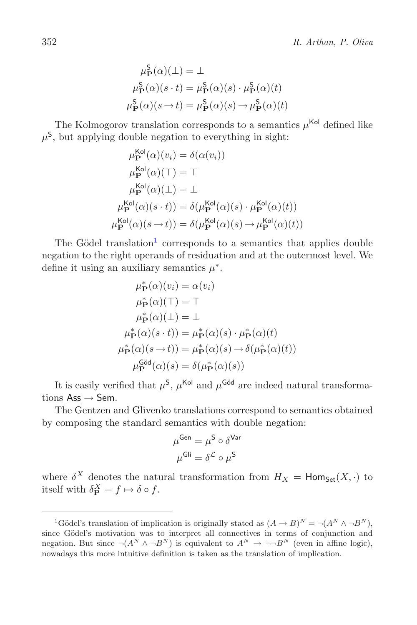$$
\mu_{\mathbf{P}}^{S}(\alpha)(\bot) = \bot
$$
  

$$
\mu_{\mathbf{P}}^{S}(\alpha)(s \cdot t) = \mu_{\mathbf{P}}^{S}(\alpha)(s) \cdot \mu_{\mathbf{P}}^{S}(\alpha)(t)
$$
  

$$
\mu_{\mathbf{P}}^{S}(\alpha)(s \to t) = \mu_{\mathbf{P}}^{S}(\alpha)(s) \to \mu_{\mathbf{P}}^{S}(\alpha)(t)
$$

The Kolmogorov translation corresponds to a semantics  $\mu^{\text{Kol}}$  defined like  $\mu^{\mathsf{S}}$ , but applying double negation to everything in sight:

$$
\mu_{\mathbf{P}}^{\text{Kol}}(\alpha)(v_i) = \delta(\alpha(v_i))
$$
  
\n
$$
\mu_{\mathbf{P}}^{\text{Kol}}(\alpha)(\top) = \top
$$
  
\n
$$
\mu_{\mathbf{P}}^{\text{Kol}}(\alpha)(\bot) = \bot
$$
  
\n
$$
\mu_{\mathbf{P}}^{\text{Kol}}(\alpha)(s \cdot t)) = \delta(\mu_{\mathbf{P}}^{\text{Kol}}(\alpha)(s) \cdot \mu_{\mathbf{P}}^{\text{Kol}}(\alpha)(t))
$$
  
\n
$$
\mu_{\mathbf{P}}^{\text{Kol}}(\alpha)(s \to t)) = \delta(\mu_{\mathbf{P}}^{\text{Kol}}(\alpha)(s) \to \mu_{\mathbf{P}}^{\text{Kol}}(\alpha)(t))
$$

The Gödel translation<sup>[1](#page-11-0)</sup> corresponds to a semantics that applies double negation to the right operands of residuation and at the outermost level. We define it using an auxiliary semantics  $\mu^*$ .

$$
\mu_{\mathbf{P}}^{*}(\alpha)(v_{i}) = \alpha(v_{i})
$$
  
\n
$$
\mu_{\mathbf{P}}^{*}(\alpha)(\top) = \top
$$
  
\n
$$
\mu_{\mathbf{P}}^{*}(\alpha)(\bot) = \bot
$$
  
\n
$$
\mu_{\mathbf{P}}^{*}(\alpha)(s \cdot t)) = \mu_{\mathbf{P}}^{*}(\alpha)(s) \cdot \mu_{\mathbf{P}}^{*}(\alpha)(t)
$$
  
\n
$$
\mu_{\mathbf{P}}^{S\ddot{\alpha}}(\alpha)(s) = \delta(\mu_{\mathbf{P}}^{*}(\alpha)(s))
$$

It is easily verified that  $\mu^S$ ,  $\mu^{\text{Kol}}$  and  $\mu^{\text{Göd}}$  are indeed natural transformations  $\text{Ass} \rightarrow \text{Sem}$ .

The Gentzen and Glivenko translations correspond to semantics obtained by composing the standard semantics with double negation:

$$
\mu^{\text{Gen}} = \mu^{\text{S}} \circ \delta^{\text{Var}}
$$

$$
\mu^{\text{Gli}} = \delta^{\mathcal{L}} \circ \mu^{\text{S}}
$$

where  $\delta^X$  denotes the natural transformation from  $H_X = \text{Hom}_{\text{Set}}(X, \cdot)$  to itself with  $\delta_{\mathbf{P}}^X = f \mapsto \delta \circ f$ .

<span id="page-11-0"></span><sup>&</sup>lt;sup>1</sup>Gödel's translation of implication is originally stated as  $(A \to B)^N = \neg (A^N \land \neg B^N)$ , since Gödel's motivation was to interpret all connectives in terms of conjunction and negation. But since  $\neg(A^N \land \neg B^N)$  is equivalent to  $A^N \to \neg \neg B^N$  (even in affine logic), nowadays this more intuitive definition is taken as the translation of implication.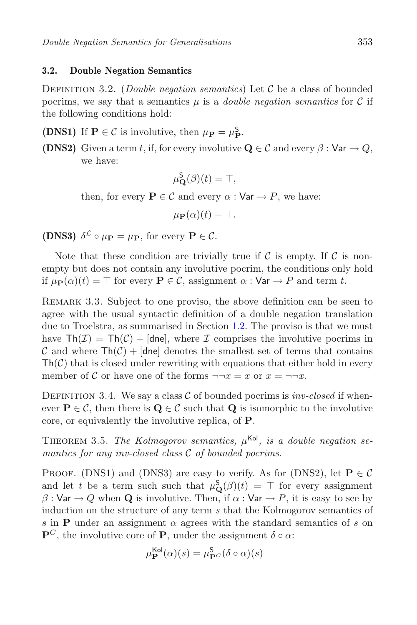### <span id="page-12-1"></span>**3.2. Double Negation Semantics**

Definition 3.2. (*Double negation semantics*) Let <sup>C</sup> be a class of bounded pocrims, we say that a semantics  $\mu$  is a *double negation semantics* for C if the following conditions hold:

- **(DNS1)** If **P**  $\in \mathcal{C}$  is involutive, then  $\mu_{\mathbf{P}} = \mu_{\mathbf{P}}^{\mathsf{S}}$ .
- **(DNS2)** Given a term t, if, for every involutive  $\mathbf{Q} \in \mathcal{C}$  and every  $\beta : \mathsf{Var} \to Q$ , we have:

$$
\mu_{\mathbf{Q}}^{\mathbf{S}}(\beta)(t) = \top,
$$

then, for every  $P \in \mathcal{C}$  and every  $\alpha : \mathsf{Var} \to P$ , we have:

$$
\mu_{\mathbf{P}}(\alpha)(t) = \top.
$$

**(DNS3)**  $\delta^{\mathcal{L}} \circ \mu_{\mathbf{P}} = \mu_{\mathbf{P}}$ , for every  $\mathbf{P} \in \mathcal{C}$ .

Note that these condition are trivially true if  $\mathcal C$  is empty. If  $\mathcal C$  is nonempty but does not contain any involutive pocrim, the conditions only hold if  $\mu_{\mathbf{P}}(\alpha)(t) = \top$  for every  $\mathbf{P} \in \mathcal{C}$ , assignment  $\alpha : \forall \mathbf{a} \in \mathcal{P}$  and term t.

<span id="page-12-2"></span>Remark 3.3. Subject to one proviso, the above definition can be seen to agree with the usual syntactic definition of a double negation translation due to Troelstra, as summarised in Section [1.2.](#page-2-0) The proviso is that we must have  $\text{Th}(\mathcal{I}) = \text{Th}(\mathcal{C}) + [\text{d}ne]$ , where  $\mathcal I$  comprises the involutive pocrims in C and where  $\text{Th}(\mathcal{C})+[\text{dne}]$  denotes the smallest set of terms that contains  $\text{Th}(\mathcal{C})$  that is closed under rewriting with equations that either hold in every member of C or have one of the forms  $\neg\neg x = x$  or  $x = \neg\neg x$ .

DEFINITION 3.4. We say a class  $C$  of bounded pocrims is *inv-closed* if whenever  $P \in \mathcal{C}$ , then there is  $Q \in \mathcal{C}$  such that Q is isomorphic to the involutive core, or equivalently the involutive replica, of **P**.

<span id="page-12-0"></span>THEOREM 3.5. *The Kolmogorov semantics,*  $\mu^{\text{Kol}}$ *, is a double negation semantics for any inv-closed class* C *of bounded pocrims.*

**PROOF.** (DNS1) and (DNS3) are easy to verify. As for (DNS2), let  $P \in \mathcal{C}$ and let t be a term such such that  $\mu_{\mathbf{Q}}^{S}(\beta)(t) = \top$  for every assignment  $\beta: \mathsf{Var} \to Q$  when **Q** is involutive. Then, if  $\alpha: \mathsf{Var} \to P$ , it is easy to see by induction on the structure of any term s that the Kolmogorov semantics of s in **P** under an assignment  $\alpha$  agrees with the standard semantics of s on  $\mathbf{P}^C$ , the involutive core of **P**, under the assignment  $\delta \circ \alpha$ :

$$
\mu_{\mathbf{P}}^{\mathsf{Kol}}(\alpha)(s) = \mu_{\mathbf{P}^C}^{\mathsf{S}}(\delta \circ \alpha)(s)
$$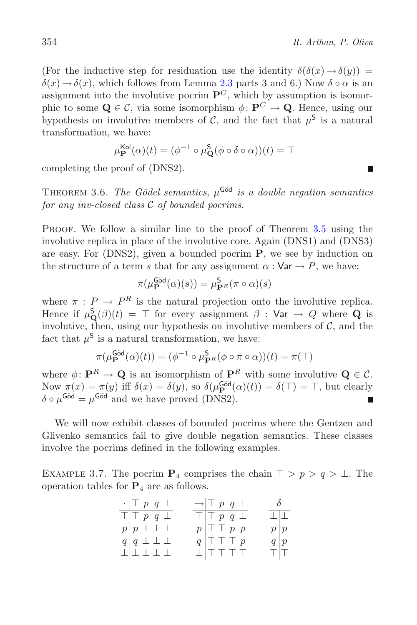(For the inductive step for residuation use the identity  $\delta(\delta(x) \rightarrow \delta(y))$  =  $\delta(x) \rightarrow \delta(x)$ , which follows from Lemma [2.3](#page-5-0) parts 3 and 6.) Now  $\delta \circ \alpha$  is an assignment into the involutive pocrim  $\mathbf{P}^C$ , which by assumption is isomorphic to some  $Q \in \mathcal{C}$ , via some isomorphism  $\phi \colon \mathbf{P}^C \to \mathbf{Q}$ . Hence, using our hypothesis on involutive members of C, and the fact that  $\mu^S$  is a natural transformation, we have:

$$
\mu_{\mathbf{P}}^{\mathsf{Kol}}(\alpha)(t) = (\phi^{-1} \circ \mu_{\mathbf{Q}}^{\mathsf{S}}(\phi \circ \delta \circ \alpha))(t) = \top
$$

<span id="page-13-0"></span>completing the proof of (DNS2).

THEOREM 3.6. *The Gödel semantics,*  $\mu^{\text{Göd}}$  *is a double negation semantics for any inv-closed class* C *of bounded pocrims.*

PROOF. We follow a similar line to the proof of Theorem [3.5](#page-12-0) using the involutive replica in place of the involutive core. Again (DNS1) and (DNS3) are easy. For (DNS2), given a bounded pocrim **P**, we see by induction on the structure of a term s that for any assignment  $\alpha : \mathsf{Var} \to P$ , we have:

$$
\pi(\mu_{\mathbf{P}}^{\mathsf{Göd}}(\alpha)(s)) = \mu_{\mathbf{P}^R}^{\mathsf{S}}(\pi \circ \alpha)(s)
$$

where  $\pi$ :  $P \rightarrow P^R$  is the natural projection onto the involutive replica. Hence if  $\mu_{\mathbf{Q}}^{\mathbf{S}}(\beta)(t) = \top$  for every assignment  $\beta : \mathsf{Var} \to Q$  where **Q** is involutive, then, using our hypothesis on involutive members of  $\mathcal{C}$ , and the fact that  $\mu^{\mathsf{S}}$  is a natural transformation, we have:

$$
\pi(\mu_{\mathbf{P}}^{\mathsf{Göd}}(\alpha)(t)) = (\phi^{-1} \circ \mu_{\mathbf{P}^R}^{\mathsf{S}}(\phi \circ \pi \circ \alpha))(t) = \pi(\top)
$$

where  $\phi: \mathbf{P}^R \to \mathbf{Q}$  is an isomorphism of  $\mathbf{P}^R$  with some involutive  $\mathbf{Q} \in \mathcal{C}$ . Now  $\pi(x) = \pi(y)$  iff  $\delta(x) = \delta(y)$ , so  $\delta(\mu_{\mathbf{P}}^{\mathbf{Göd}}(\alpha)(t)) = \delta(\top) = \top$ , but clearly  $\delta \circ \mu^{\text{Göd}} = \mu^{\text{Göd}}$  and we have proved (DNS2). п

<span id="page-13-1"></span>We will now exhibit classes of bounded pocrims where the Gentzen and Glivenko semantics fail to give double negation semantics. These classes involve the pocrims defined in the following examples.

EXAMPLE 3.7. The pocrim  $P_4$  comprises the chain  $\top > p > q > \bot$ . The operation tables for **P**<sup>4</sup> are as follows.

| $\cdot$   $\top$ p q $\bot$          | $\rightarrow \mid \top p q \perp$                              | $\delta$                |         |
|--------------------------------------|----------------------------------------------------------------|-------------------------|---------|
| $T T p q \perp$                      | $\top$ $\top$ p q $\bot$                                       | $\perp \parallel \perp$ |         |
| $p\mid p\perp\perp\perp$             | $p \vert \top \top p p$                                        | $p\mid p$               |         |
| $q \mid q \perp \perp \perp$         | $q \vert \top \top \top p$                                     | q p                     |         |
| $\perp \mid \perp \perp \perp \perp$ | $\perp$ $\uparrow$ $\uparrow$ $\uparrow$ $\uparrow$ $\uparrow$ |                         | $T$ $T$ |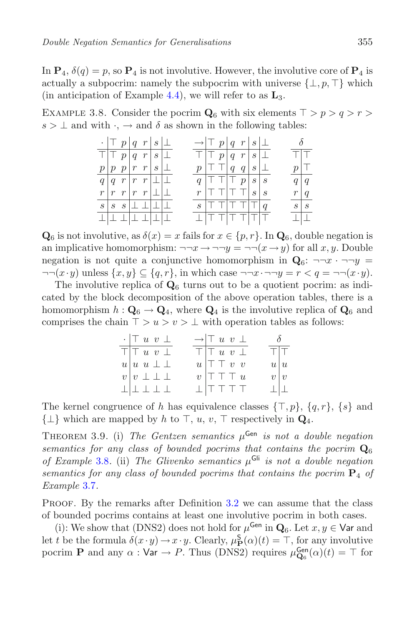In  $P_4$ ,  $\delta(q) = p$ , so  $P_4$  is not involutive. However, the involutive core of  $P_4$  is actually a subpocrim: namely the subpocrim with universe  $\{\bot, p, \top\}$  which (in anticipation of Example [4.4\)](#page-18-0), we will refer to as **L**3.

<span id="page-14-0"></span>EXAMPLE 3.8. Consider the pocrim  $\mathbf{Q}_6$  with six elements  $T > p > q > r>$  $s > \perp$  and with  $\cdot$ ,  $\rightarrow$  and  $\delta$  as shown in the following tables:



 $\mathbf{Q}_6$  is not involutive, as  $\delta(x) = x$  fails for  $x \in \{p, r\}$ . In  $\mathbf{Q}_6$ , double negation is an implicative homomorphism:  $\neg\neg x \rightarrow \neg\neg y = \neg\neg(x \rightarrow y)$  for all x, y. Double negation is not quite a conjunctive homomorphism in  $\mathbf{Q}_6$ :  $\neg\neg x \cdot \neg\neg y$  $\neg\neg(x \cdot y)$  unless  $\{x, y\} \subseteq \{q, r\}$ , in which case  $\neg\neg x \cdot \neg\neg y = r < q = \neg\neg(x \cdot y)$ .

The involutive replica of  $\mathbf{Q}_6$  turns out to be a quotient pocrim: as indicated by the block decomposition of the above operation tables, there is a homomorphism  $h: \mathbf{Q}_6 \to \mathbf{Q}_4$ , where  $\mathbf{Q}_4$  is the involutive replica of  $\mathbf{Q}_6$  and comprises the chain  $\top > u > v > \bot$  with operation tables as follows:

| $\cdot$ $\top u v \perp$                | $\rightarrow$ $\top u v \perp$                                 | $\delta$                |  |
|-----------------------------------------|----------------------------------------------------------------|-------------------------|--|
| $\overline{\top}$ $\top$ $u$ $v$ $\bot$ | $\top$ $\top$ $u$ $v$ $\bot$                                   | $T$ $T$                 |  |
| $u u u \perp \perp$                     | $u \vert \top \top v \vert v$                                  | u u                     |  |
| $v v \perp \perp \perp$                 | $v \vert \top \top \top u$                                     | $v\, v$                 |  |
| $\bot   \bot \bot \bot \bot$            | $\perp$ $\uparrow$ $\uparrow$ $\uparrow$ $\uparrow$ $\uparrow$ | $\perp \parallel \perp$ |  |

The kernel congruence of h has equivalence classes  $\{\top, p\}, \{q, r\}, \{s\}$  and  $\{\perp\}$  which are mapped by h to  $\top$ , u, v,  $\top$  respectively in  $\mathbf{Q}_4$ .

<span id="page-14-1"></span>THEOREM 3.9. (i) *The Gentzen semantics*  $\mu^{\text{Gen}}$  *is not a double negation semantics for any class of bounded pocrims that contains the pocrim*  $\mathbf{Q}_6$ *of Example* [3.8](#page-14-0)*.* (ii) *The Glivenko semantics* μGli *is not a double negation semantics for any class of bounded pocrims that contains the pocrim* **P**<sup>4</sup> *of Example* [3.7](#page-13-1)*.*

PROOF. By the remarks after Definition [3.2](#page-12-1) we can assume that the class of bounded pocrims contains at least one involutive pocrim in both cases.

(i): We show that (DNS2) does not hold for  $\mu^{\text{Gen}}$  in  $\mathbf{Q}_6$ . Let  $x, y \in \text{Var}$  and let t be the formula  $\delta(x \cdot y) \to x \cdot y$ . Clearly,  $\mu_{\mathbf{P}}^{\mathbf{S}}(\alpha)(t) = \top$ , for any involutive pocrim **P** and any  $\alpha$  :  $Var \rightarrow P$ . Thus (DNS2) requires  $\mu_{\mathbf{Q}_6}^{\text{Gen}}(\alpha)(t) = \top$  for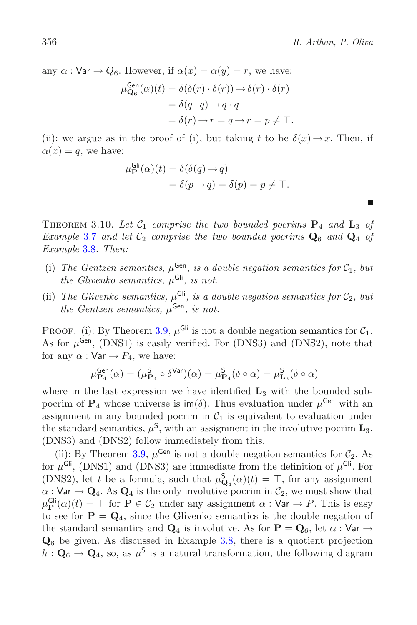п

any  $\alpha$ : Var  $\rightarrow Q_6$ . However, if  $\alpha(x) = \alpha(y) = r$ , we have:

$$
\mu_{\mathbf{Q}_6}^{\text{Gen}}(\alpha)(t) = \delta(\delta(r) \cdot \delta(r)) \rightarrow \delta(r) \cdot \delta(r)
$$

$$
= \delta(q \cdot q) \rightarrow q \cdot q
$$

$$
= \delta(r) \rightarrow r = q \rightarrow r = p \neq \top.
$$

(ii): we argue as in the proof of (i), but taking t to be  $\delta(x) \rightarrow x$ . Then, if  $\alpha(x) = q$ , we have:

$$
\mu_{\mathbf{P}}^{\mathsf{Gli}}(\alpha)(t) = \delta(\delta(q) \to q)
$$
  
=  $\delta(p \to q) = \delta(p) = p \neq \top$ .

<span id="page-15-0"></span>THEOREM 3.10. Let  $C_1$  comprise the two bounded pocrims  $P_4$  and  $L_3$  of *Example* [3.7](#page-13-1) *and let*  $C_2$  *comprise the two bounded pocrims*  $Q_6$  *and*  $Q_4$  *of Example* [3.8](#page-14-0)*. Then:*

- (i) The Gentzen semantics,  $\mu^{\text{Gen}}$ , is a double negation semantics for  $\mathcal{C}_1$ , but *the Glivenko semantics,*  $\mu$ <sup>Gli</sup>, *is not.*
- (ii) *The Glivenko semantics,*  $\mu$ <sup>Gli</sup>, *is a double negation semantics for*  $C_2$ *, but the Gentzen semantics,*  $\mu^{\text{Gen}}$ *, is not.*

PROOF. (i): By Theorem [3.9,](#page-14-1)  $\mu$ <sup>Gli</sup> is not a double negation semantics for  $C_1$ . As for  $\mu^{\text{Gen}}$ , (DNS1) is easily verified. For (DNS3) and (DNS2), note that for any  $\alpha : \mathsf{Var} \to P_4$ , we have:

$$
\mu_{\mathbf{P}_4}^{\mathsf{Gen}}(\alpha) = (\mu_{\mathbf{P}_4}^{\mathsf{S}} \circ \delta^{\mathsf{Var}})(\alpha) = \mu_{\mathbf{P}_4}^{\mathsf{S}}(\delta \circ \alpha) = \mu_{\mathbf{L}_3}^{\mathsf{S}}(\delta \circ \alpha)
$$

where in the last expression we have identified  $\mathbf{L}_3$  with the bounded subpocrim of  $P_4$  whose universe is  $\text{im}(\delta)$ . Thus evaluation under  $\mu^{\text{Gen}}$  with an assignment in any bounded pocrim in  $C_1$  is equivalent to evaluation under the standard semantics,  $\mu^S$ , with an assignment in the involutive pocrim  $\mathbf{L}_3$ . (DNS3) and (DNS2) follow immediately from this.

(ii): By Theorem [3.9,](#page-14-1)  $\mu^{\text{Gen}}$  is not a double negation semantics for  $\mathcal{C}_2$ . As for  $\mu$ <sup>Gli</sup>, (DNS1) and (DNS3) are immediate from the definition of  $\mu$ <sup>Gli</sup>. For (DNS2), let t be a formula, such that  $\mu_{\mathbf{Q}_4}^{\mathbf{S}}(\alpha)(t) = \top$ , for any assignment  $\alpha$  : Var  $\rightarrow$  Q<sub>4</sub>. As Q<sub>4</sub> is the only involutive pocrim in  $\mathcal{C}_2$ , we must show that  $\mu_{\mathbf{P}}^{\mathsf{Gli}}(\alpha)(t) = \top$  for  $\mathbf{P} \in \mathcal{C}_2$  under any assignment  $\alpha : \mathsf{Var} \to P$ . This is easy to see for  $P = Q_4$ , since the Glivenko semantics is the double negation of the standard semantics and  $\mathbf{Q}_4$  is involutive. As for  $\mathbf{P} = \mathbf{Q}_6$ , let  $\alpha : \mathsf{Var} \to$ **Q**<sup>6</sup> be given. As discussed in Example [3.8,](#page-14-0) there is a quotient projection  $h: \mathbf{Q}_6 \to \mathbf{Q}_4$ , so, as  $\mu^{\mathsf{S}}$  is a natural transformation, the following diagram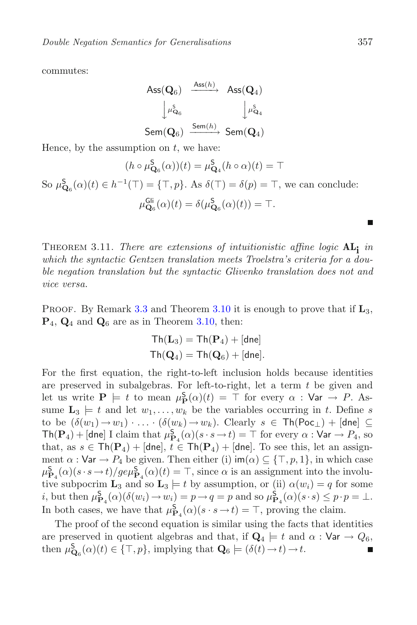commutes:

$$
\begin{array}{ccc}{\sf Ass}({\bf Q}_6)&\xrightarrow{{\sf Ass}(h)}&{\sf Ass}({\bf Q}_4)\\ &\Big\downarrow\mu^{\sf S}_{{\bf Q}_6}&\Big\downarrow\mu^{\sf S}_{{\bf Q}_4}\\ {\sf Sem}({\bf Q}_6)&\xrightarrow{{\sf Sem}(h)}{\sf Sem}({\bf Q}_4)\end{array}
$$

Hence, by the assumption on  $t$ , we have:

$$
(h \circ \mu_{\mathbf{Q}_6}^{\mathbf{S}}(\alpha))(t) = \mu_{\mathbf{Q}_4}^{\mathbf{S}}(h \circ \alpha)(t) = \top
$$
  
So  $\mu_{\mathbf{Q}_6}^{\mathbf{S}}(\alpha)(t) \in h^{-1}(\top) = {\top, p}$ . As  $\delta(\top) = \delta(p) = \top$ , we can conclude:  
 $\mu_{\mathbf{Q}_6}^{\mathsf{Gli}}(\alpha)(t) = \delta(\mu_{\mathbf{Q}_6}^{\mathbf{S}}(\alpha)(t)) = \top$ .

<span id="page-16-0"></span>Theorem 3.11. *There are extensions of intuitionistic affine logic* **ALi** *in which the syntactic Gentzen translation meets Troelstra's criteria for a double negation translation but the syntactic Glivenko translation does not and vice versa.*

PROOF. By Remark [3.3](#page-12-2) and Theorem  $3.10$  it is enough to prove that if  $\mathbf{L}_3$ , **P**4, **Q**<sup>4</sup> and **Q**<sup>6</sup> are as in Theorem [3.10,](#page-15-0) then:

$$
\begin{aligned} \mathsf{Th}(\mathbf{L}_3) &= \mathsf{Th}(\mathbf{P}_4) + [\mathsf{dne}] \\ \mathsf{Th}(\mathbf{Q}_4) &= \mathsf{Th}(\mathbf{Q}_6) + [\mathsf{dne}]. \end{aligned}
$$

For the first equation, the right-to-left inclusion holds because identities are preserved in subalgebras. For left-to-right, let a term  $t$  be given and let us write  $P \models t$  to mean  $\mu_{P}^{S}(\alpha)(t) = \top$  for every  $\alpha : \text{Var} \rightarrow P$ . Assume  $\mathbf{L}_3 \models t$  and let  $w_1, \ldots, w_k$  be the variables occurring in t. Define s to be  $(\delta(w_1) \to w_1) \cdot \ldots \cdot (\delta(w_k) \to w_k)$ . Clearly  $s \in \text{Th}(\text{Poc}_\perp)+[\text{dne}] \subseteq$  $\textsf{Th}(\mathbf{P}_4)+[\textsf{dne}]$  I claim that  $\mu_{\mathbf{P}_4}^{\mathbf{S}}(\alpha)(s\cdot s\to t)=\top$  for every  $\alpha:\textsf{Var}\to P_4$ , so that, as  $s \in \text{Th}(\mathbf{P}_4)+[\text{dne}], t \in \text{Th}(\mathbf{P}_4)+[\text{dne}].$  To see this, let an assignment  $\alpha$  : Var  $\rightarrow$   $P_4$  be given. Then either (i) im( $\alpha$ )  $\subseteq$  { $\top$ ,  $p$ , 1}, in which case  $\mu_{\mathbf{P}_4}^{\mathbf{S}}(\alpha)(s \cdot s \to t)/g e \mu_{\mathbf{P}_4}^{\mathbf{S}}(\alpha)(t) = \top$ , since  $\alpha$  is an assignment into the involutive subpocrim **L**<sub>3</sub> and so **L**<sub>3</sub>  $\models$  t by assumption, or (ii)  $\alpha(w_i) = q$  for some *i*, but then  $\mu_{\mathbf{P}_4}^{\mathbf{S}}(\alpha)(\delta(w_i) \to w_i) = p \to q = p$  and so  $\mu_{\mathbf{P}_4}^{\mathbf{S}}(\alpha)(s \cdot s) \leq p \cdot p = \bot$ . In both cases, we have that  $\mu_{\mathbf{P}_4}^{\mathbf{S}}(\alpha)(s \cdot s \to t) = \top$ , proving the claim.

The proof of the second equation is similar using the facts that identities are preserved in quotient algebras and that, if  $\mathbf{Q}_4 \models t$  and  $\alpha : \mathsf{Var} \rightarrow Q_6$ , then  $\mu_{\mathbf{Q}_6}^{\mathbf{S}}(\alpha)(t) \in \{\top, p\}$ , implying that  $\mathbf{Q}_6 \models (\delta(t) \rightarrow t) \rightarrow t$ . П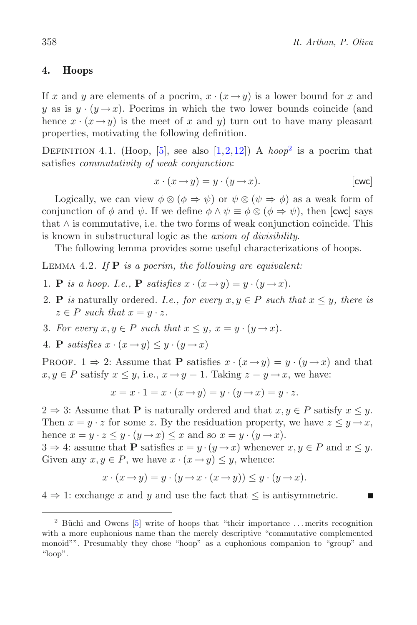# **4. Hoops**

If x and y are elements of a pocrim,  $x \cdot (x \rightarrow y)$  is a lower bound for x and y as is  $y \cdot (y \rightarrow x)$ . Pocrims in which the two lower bounds coincide (and hence  $x \cdot (x \rightarrow y)$  is the meet of x and y) turn out to have many pleasant properties, motivating the following definition.

DEFINITION 4.1. (Hoop, [\[5](#page-23-12)], see also  $[1,2,12]$  $[1,2,12]$  $[1,2,12]$  $[1,2,12]$ ) A *hoop*<sup>2</sup> is a pocrim that satisfies *commutativity of weak conjunction*:

$$
x \cdot (x \to y) = y \cdot (y \to x). \qquad \qquad [\text{cwc}]
$$

Logically, we can view  $\phi \otimes (\phi \Rightarrow \psi)$  or  $\psi \otimes (\psi \Rightarrow \phi)$  as a weak form of conjunction of  $\phi$  and  $\psi$ . If we define  $\phi \wedge \psi \equiv \phi \otimes (\phi \Rightarrow \psi)$ , then [cwc] says that  $\wedge$  is commutative, i.e. the two forms of weak conjunction coincide. This is known in substructural logic as the *axiom of divisibility*.

<span id="page-17-1"></span>The following lemma provides some useful characterizations of hoops.

Lemma 4.2. *If* **P** *is a pocrim, the following are equivalent:*

- 1. **P** *is a hoop. I.e.,* **P** *satisfies*  $x \cdot (x \rightarrow y) = y \cdot (y \rightarrow x)$ *.*
- 2. **P** *is* naturally ordered. I.e., for every  $x, y \in P$  such that  $x \leq y$ , there is  $z \in P$  *such that*  $x = y \cdot z$ *.*
- 3. For every  $x, y \in P$  such that  $x \leq y$ ,  $x = y \cdot (y \rightarrow x)$ .
- 4. **P** *satisfies*  $x \cdot (x \rightarrow y) \leq y \cdot (y \rightarrow x)$

**PROOF.** 1  $\Rightarrow$  2: Assume that **P** satisfies  $x \cdot (x \rightarrow y) = y \cdot (y \rightarrow x)$  and that  $x, y \in P$  satisfy  $x \leq y$ , i.e.,  $x \to y = 1$ . Taking  $z = y \to x$ , we have:

$$
x = x \cdot 1 = x \cdot (x \rightarrow y) = y \cdot (y \rightarrow x) = y \cdot z.
$$

 $2 \Rightarrow 3$ : Assume that **P** is naturally ordered and that  $x, y \in P$  satisfy  $x \leq y$ . Then  $x = y \cdot z$  for some z. By the residuation property, we have  $z \leq y \rightarrow x$ , hence  $x = y \cdot z \leq y \cdot (y \rightarrow x) \leq x$  and so  $x = y \cdot (y \rightarrow x)$ .

 $3 \Rightarrow 4$ : assume that **P** satisfies  $x = y \cdot (y \rightarrow x)$  whenever  $x, y \in P$  and  $x \leq y$ . Given any  $x, y \in P$ , we have  $x \cdot (x \to y) \leq y$ , whence:

$$
x \cdot (x \to y) = y \cdot (y \to x \cdot (x \to y)) \le y \cdot (y \to x).
$$

 $4 \Rightarrow 1$ : exchange x and y and use the fact that  $\leq$  is antisymmetric.

<span id="page-17-0"></span> $2$  Büchi and Owens [\[5](#page-23-12)] write of hoops that "their importance ... merits recognition with a more euphonious name than the merely descriptive "commutative complemented monoid"". Presumably they chose "hoop" as a euphonious companion to "group" and "loop".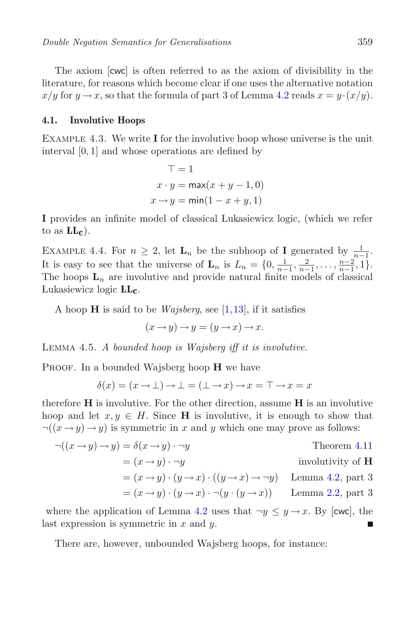The axiom [cwc] is often referred to as the axiom of divisibility in the literature, for reasons which become clear if one uses the alternative notation  $x/y$  for  $y \rightarrow x$ , so that the formula of part 3 of Lemma [4.2](#page-17-1) reads  $x = y \cdot (x/y)$ .

#### **4.1. Involutive Hoops**

Example 4.3. We write **I** for the involutive hoop whose universe is the unit interval [0, 1] and whose operations are defined by

$$
\top = 1
$$
  

$$
x \cdot y = \max(x + y - 1, 0)
$$
  

$$
x \rightarrow y = \min(1 - x + y, 1)
$$

**I** provides an infinite model of classical Lukasiewicz logic, (which we refer to as  $LL<sub>c</sub>$ ).

<span id="page-18-0"></span>EXAMPLE 4.4. For  $n \geq 2$ , let  $\mathbf{L}_n$  be the subhoop of **I** generated by  $\frac{1}{n-1}$ . It is easy to see that the universe of  $\mathbf{L}_n$  is  $L_n = \{0, \frac{1}{n-1}, \frac{2}{n-1}, \dots, \frac{n-2}{n-1}, 1\}$ . The hoops  $L_n$  are involutive and provide natural finite models of classical Lukasiewicz logic **LL- c**.

A hoop **H** is said to be *Wajsberg*, see [\[1,](#page-22-1)[13\]](#page-23-14), if it satisfies

$$
(x \to y) \to y = (y \to x) \to x.
$$

Lemma 4.5. *A bounded hoop is Wajsberg iff it is involutive.*

PROOF. In a bounded Wajsberg hoop **H** we have

$$
\delta(x) = (x \to \bot) \to \bot = (\bot \to x) \to x = \top \to x = x
$$

therefore **H** is involutive. For the other direction, assume **H** is an involutive hoop and let  $x, y \in H$ . Since **H** is involutive, it is enough to show that  $\neg((x \rightarrow y) \rightarrow y)$  is symmetric in x and y which one may prove as follows:

$$
\neg((x \to y) \to y) = \delta(x \to y) \cdot \neg y
$$
Theorem 4.11  
=  $(x \to y) \cdot \neg y$  involutivity of **H**  
=  $(x \to y) \cdot (y \to x) \cdot ((y \to x) \to \neg y)$  Lemma 4.2, part 3  
=  $(x \to y) \cdot (y \to x) \cdot \neg (y \cdot (y \to x))$  Lemma 2.2, part 3

where the application of Lemma [4.2](#page-17-1) uses that  $\neg y \leq y \rightarrow x$ . By [cwc], the last expression is symmetric in  $x$  and  $y$ .

There are, however, unbounded Wajsberg hoops, for instance: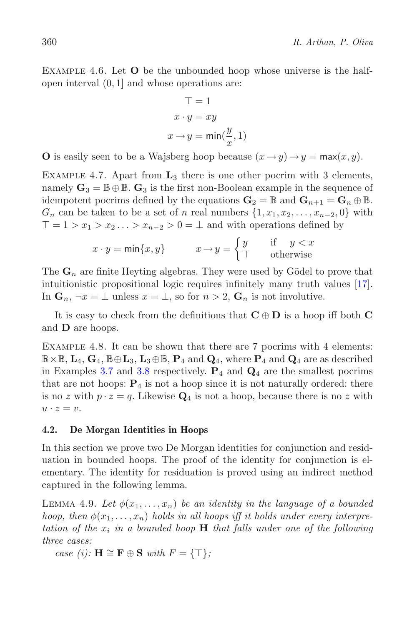Example 4.6. Let **O** be the unbounded hoop whose universe is the halfopen interval (0, 1] and whose operations are:

$$
\top = 1
$$
  

$$
x \cdot y = xy
$$
  

$$
x \rightarrow y = \min(\frac{y}{x}, 1)
$$

**O** is easily seen to be a Wajsberg hoop because  $(x \rightarrow y) \rightarrow y = \max(x, y)$ .

Example 4.7. Apart from **L**<sup>3</sup> there is one other pocrim with 3 elements, namely  $\mathbf{G}_3 = \mathbb{B} \oplus \mathbb{B}$ .  $\mathbf{G}_3$  is the first non-Boolean example in the sequence of idempotent pocrims defined by the equations  $\mathbf{G}_2 = \mathbb{B}$  and  $\mathbf{G}_{n+1} = \mathbf{G}_n \oplus \mathbb{B}$ .  $G_n$  can be taken to be a set of n real numbers  $\{1, x_1, x_2, \ldots, x_{n-2}, 0\}$  with  $T = 1 > x_1 > x_2 \ldots > x_{n-2} > 0 = \perp$  and with operations defined by

$$
x \cdot y = \min\{x, y\} \qquad x \to y = \begin{cases} y & \text{if } y < x \\ \top & \text{otherwise} \end{cases}
$$

The  $\mathbf{G}_n$  are finite Heyting algebras. They were used by Gödel to prove that intuitionistic propositional logic requires infinitely many truth values [\[17](#page-23-15)]. In  $\mathbf{G}_n$ ,  $\neg x = \bot$  unless  $x = \bot$ , so for  $n > 2$ ,  $\mathbf{G}_n$  is not involutive.

It is easy to check from the definitions that  $C \oplus D$  is a hoop iff both  $C$ and **D** are hoops.

Example 4.8. It can be shown that there are 7 pocrims with 4 elements:  $\mathbb{B} \times \mathbb{B}$ ,  $\mathbf{L}_4$ ,  $\mathbf{G}_4$ ,  $\mathbb{B} \oplus \mathbf{L}_3$ ,  $\mathbf{L}_3 \oplus \mathbb{B}$ ,  $\mathbf{P}_4$  and  $\mathbf{Q}_4$ , where  $\mathbf{P}_4$  and  $\mathbf{Q}_4$  are as described in Examples [3.7](#page-13-1) and [3.8](#page-14-0) respectively.  $P_4$  and  $Q_4$  are the smallest pocrims that are not hoops:  $P_4$  is not a hoop since it is not naturally ordered: there is no z with  $p \cdot z = q$ . Likewise  $\mathbf{Q}_4$  is not a hoop, because there is no z with  $u \cdot z = v.$ 

# <span id="page-19-0"></span>**4.2. De Morgan Identities in Hoops**

In this section we prove two De Morgan identities for conjunction and residuation in bounded hoops. The proof of the identity for conjunction is elementary. The identity for residuation is proved using an indirect method captured in the following lemma.

<span id="page-19-1"></span>LEMMA 4.9. Let  $\phi(x_1,\ldots,x_n)$  be an identity in the language of a bounded *hoop, then*  $\phi(x_1, \ldots, x_n)$  *holds in all hoops iff it holds under every interpretation of the* x*<sup>i</sup> in a bounded hoop* **H** *that falls under one of the following three cases:*

*case* (*i*): **H**  $\cong$  **F** ⊕ **S** *with*  $F = \{\top\};$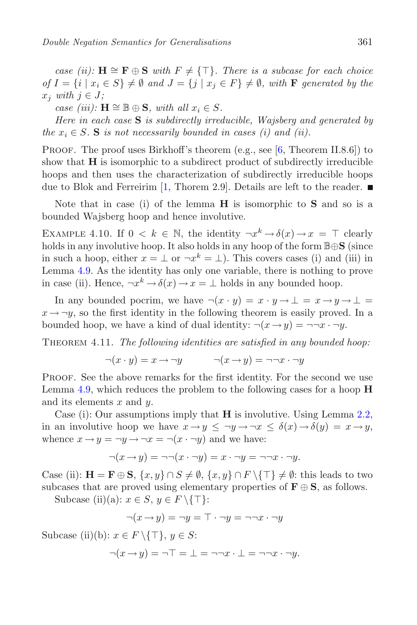*case (ii):*  $H \cong F ⊕ S$  *with*  $F ≠ {T}$ *. There is a subcase for each choice of*  $I = \{i \mid x_i \in S\} \neq \emptyset$  and  $J = \{j \mid x_j \in F\} \neq \emptyset$ , with **F** generated by the  $x_j$  *with*  $j \in J$ ;

*case (iii):*  $\mathbf{H} \cong \mathbb{B} \oplus \mathbf{S}$ *, with all*  $x_i \in S$ *.* 

*Here in each case* **S** *is subdirectly irreducible, Wajsberg and generated by the*  $x_i \in S$ . **S** *is not necessarily bounded in cases (i) and (ii).* 

PROOF. The proof uses Birkhoff's theorem (e.g., see [\[6](#page-23-16), Theorem II.8.6]) to show that **H** is isomorphic to a subdirect product of subdirectly irreducible hoops and then uses the characterization of subdirectly irreducible hoops due to Blok and Ferreirim [\[1,](#page-22-1) Thorem 2.9]. Details are left to the reader.  $\blacksquare$ 

Note that in case (i) of the lemma **H** is isomorphic to **S** and so is a bounded Wajsberg hoop and hence involutive.

EXAMPLE 4.10. If  $0 \leq k \in \mathbb{N}$ , the identity  $\neg x^k \rightarrow \delta(x) \rightarrow x = \top$  clearly holds in any involutive hoop. It also holds in any hoop of the form <sup>B</sup>⊕**<sup>S</sup>** (since in such a hoop, either  $x = \perp$  or  $\neg x^k = \perp$ ). This covers cases (i) and (iii) in Lemma [4.9.](#page-19-1) As the identity has only one variable, there is nothing to prove in case (ii). Hence,  $\neg x^k \rightarrow \delta(x) \rightarrow x = \bot$  holds in any bounded hoop.

In any bounded pocrim, we have  $\neg(x \cdot y) = x \cdot y \rightarrow \bot = x \rightarrow y \rightarrow \bot =$  $x \rightarrow \neg y$ , so the first identity in the following theorem is easily proved. In a bounded hoop, we have a kind of dual identity:  $\neg(x \rightarrow y) = \neg\neg x \cdot \neg y$ .

<span id="page-20-0"></span>Theorem 4.11. *The following identities are satisfied in any bounded hoop:*

$$
\neg(x \cdot y) = x \rightarrow \neg y \qquad \neg(x \rightarrow y) = \neg\neg x \cdot \neg y
$$

Proof. See the above remarks for the first identity. For the second we use Lemma [4.9,](#page-19-1) which reduces the problem to the following cases for a hoop **H** and its elements  $x$  and  $y$ .

Case (i): Our assumptions imply that **H** is involutive. Using Lemma [2.2,](#page-4-0) in an involutive hoop we have  $x \to y \leq \neg y \to \neg x \leq \delta(x) \to \delta(y) = x \to y$ , whence  $x \rightarrow y = \neg y \rightarrow \neg x = \neg(x \cdot \neg y)$  and we have:

$$
\neg(x \to y) = \neg\neg(x \cdot \neg y) = x \cdot \neg y = \neg\neg x \cdot \neg y.
$$

Case (ii):  $\mathbf{H} = \mathbf{F} \oplus \mathbf{S}, \{x, y\} \cap S \neq \emptyset, \{x, y\} \cap F \setminus \{\top\} \neq \emptyset$ : this leads to two subcases that are proved using elementary properties of  $\mathbf{F} \oplus \mathbf{S}$ , as follows.

Subcase (ii)(a):  $x \in S$ ,  $y \in F \setminus \{T\}$ :

$$
\neg(x \to y) = \neg y = \top \cdot \neg y = \neg \neg x \cdot \neg y
$$

Subcase (ii)(b):  $x \in F \setminus \{T\}, y \in S$ :

$$
\neg(x \to y) = \neg \top = \bot = \neg \neg x \cdot \bot = \neg \neg x \cdot \neg y.
$$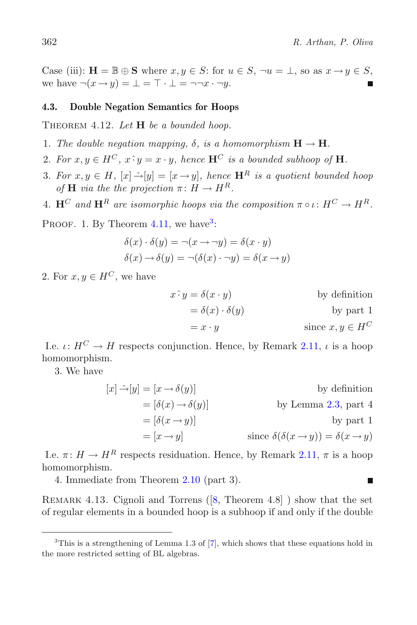Case (iii):  $\mathbf{H} = \mathbb{B} \oplus \mathbf{S}$  where  $x, y \in S$ : for  $u \in S$ ,  $\neg u = \bot$ , so as  $x \rightarrow y \in S$ , we have  $\neg(x \rightarrow y) = \bot = \top \cdot \bot = \neg\neg x \cdot \neg y$ .

# <span id="page-21-1"></span>**4.3. Double Negation Semantics for Hoops**

Theorem 4.12. *Let* **H** *be a bounded hoop.*

- 1. The double negation mapping,  $\delta$ , is a homomorphism  $\mathbf{H} \to \mathbf{H}$ .
- 2. For  $x, y \in H^C$ ,  $x \hat{\cdot} y = x \cdot y$ , hence  $\mathbf{H}^C$  *is a bounded subhoop of* **H**.
- 3. For  $x, y \in H$ ,  $[x] \rightarrow [y] = [x \rightarrow y]$ , hence  $\mathbf{H}^R$  *is a quotient bounded hoop* of **H** *via the the projection*  $\pi: H \to H^R$ .
- 4.  $\mathbf{H}^C$  and  $\mathbf{H}^R$  are isomorphic hoops via the composition  $\pi \circ \iota : H^C \to H^R$ .

PROOF. 1. By Theorem  $4.11$ , we have<sup>[3](#page-21-0)</sup>:

$$
\delta(x) \cdot \delta(y) = \neg(x \to \neg y) = \delta(x \cdot y)
$$

$$
\delta(x) \to \delta(y) = \neg(\delta(x) \cdot \neg y) = \delta(x \to y)
$$

2. For  $x, y \in H^C$ , we have

$$
x^{\hat{}}y = \delta(x \cdot y)
$$
 by definition  

$$
= \delta(x) \cdot \delta(y)
$$
 by part 1  

$$
= x \cdot y
$$
 since  $x, y \in H^C$ 

I.e.  $\iota: H^C \to H$  respects conjunction. Hence, by Remark [2.11,](#page-9-0)  $\iota$  is a hoop homomorphism.

3. We have

$$
[x] \rightarrow [y] = [x \rightarrow \delta(y)]
$$
 by definition  
\n
$$
= [\delta(x) \rightarrow \delta(y)]
$$
 by Lemma 2.3, part 4  
\n
$$
= [\delta(x \rightarrow y)]
$$
 by part 1  
\n
$$
= [x \rightarrow y]
$$
 since  $\delta(\delta(x \rightarrow y)) = \delta(x \rightarrow y)$ 

I.e.  $\pi: H \to H^R$  respects residuation. Hence, by Remark [2.11,](#page-9-0)  $\pi$  is a hoop homomorphism.

4. Immediate from Theorem [2.10](#page-8-0) (part 3).

REMARK 4.13. Cignoli and Torrens  $([8,$  $([8,$  Theorem 4.8]  $)$  show that the set of regular elements in a bounded hoop is a subhoop if and only if the double

<span id="page-21-0"></span> $3$ This is a strengthening of Lemma 1.3 of  $[7]$  $[7]$ , which shows that these equations hold in the more restricted setting of BL algebras.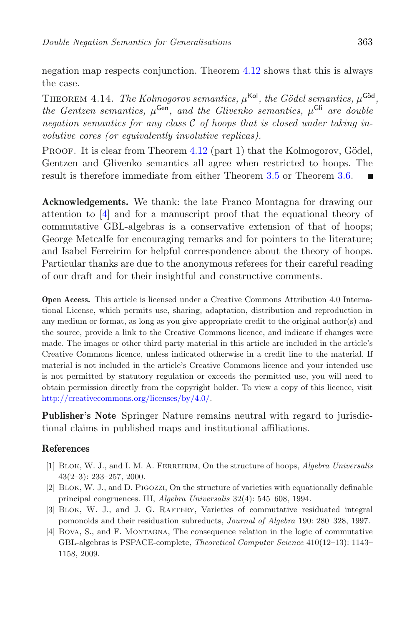negation map respects conjunction. Theorem [4.12](#page-21-1) shows that this is always the case.

THEOREM 4.14. *The Kolmogorov semantics,*  $\mu^{\text{Kol}}$ *, the Gödel semantics,*  $\mu^{\text{Göd}}$ *, the Gentzen semantics,*  $\mu^{\text{Gen}}$ *, and the Glivenko semantics,*  $\mu^{\text{Gli}}$  *are double negation semantics for any class* C *of hoops that is closed under taking involutive cores (or equivalently involutive replicas).*

PROOF. It is clear from Theorem  $4.12$  (part 1) that the Kolmogorov, Gödel, Gentzen and Glivenko semantics all agree when restricted to hoops. The result is therefore immediate from either Theorem [3.5](#page-12-0) or Theorem [3.6.](#page-13-0)

**Acknowledgements.** We thank: the late Franco Montagna for drawing our attention to [\[4\]](#page-22-3) and for a manuscript proof that the equational theory of commutative GBL-algebras is a conservative extension of that of hoops; George Metcalfe for encouraging remarks and for pointers to the literature; and Isabel Ferreirim for helpful correspondence about the theory of hoops. Particular thanks are due to the anonymous referees for their careful reading of our draft and for their insightful and constructive comments.

**Open Access.** This article is licensed under a Creative Commons Attribution 4.0 International License, which permits use, sharing, adaptation, distribution and reproduction in any medium or format, as long as you give appropriate credit to the original author(s) and the source, provide a link to the Creative Commons licence, and indicate if changes were made. The images or other third party material in this article are included in the article's Creative Commons licence, unless indicated otherwise in a credit line to the material. If material is not included in the article's Creative Commons licence and your intended use is not permitted by statutory regulation or exceeds the permitted use, you will need to obtain permission directly from the copyright holder. To view a copy of this licence, visit [http://creativecommons.org/licenses/by/4.0/.](http://creativecommons.org/licenses/by/4.0/)

**Publisher's Note** Springer Nature remains neutral with regard to jurisdictional claims in published maps and institutional affiliations.

# **References**

- <span id="page-22-1"></span>[1] Blok, W. J., and I. M. A. Ferreirim, On the structure of hoops, *Algebra Universalis* 43(2–3): 233–257, 2000.
- <span id="page-22-2"></span>[2] Blok, W. J., and D. Pigozzi, On the structure of varieties with equationally definable principal congruences. III, *Algebra Universalis* 32(4): 545–608, 1994.
- <span id="page-22-0"></span>[3] Blok, W. J., and J. G. Raftery, Varieties of commutative residuated integral pomonoids and their residuation subreducts, *Journal of Algebra* 190: 280–328, 1997.
- <span id="page-22-3"></span>[4] Bova, S., and F. Montagna, The consequence relation in the logic of commutative GBL-algebras is PSPACE-complete, *Theoretical Computer Science* 410(12–13): 1143– 1158, 2009.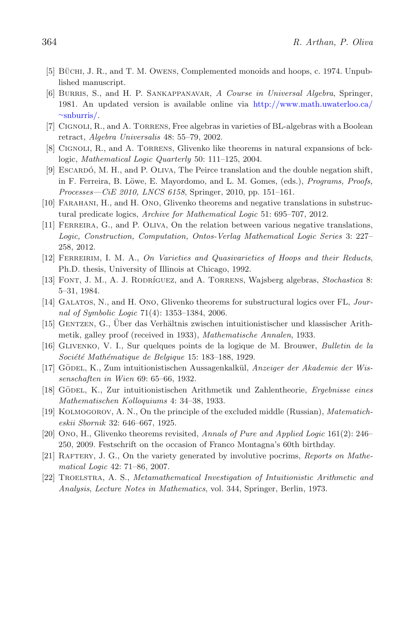- <span id="page-23-12"></span>[5] BÜCHI, J. R., and T. M. OWENS, Complemented monoids and hoops, c. 1974. Unpublished manuscript.
- <span id="page-23-16"></span>[6] Burris, S., and H. P. Sankappanavar, *A Course in Universal Algebra*, Springer, 1981. An updated version is available online via [http://www.math.uwaterloo.ca/](http://www.math.uwaterloo.ca/~snburris/) <sup>∼</sup>[snburris/.](http://www.math.uwaterloo.ca/~snburris/)
- <span id="page-23-17"></span>[7] Cignoli, R., and A. Torrens, Free algebras in varieties of BL-algebras with a Boolean retract, *Algebra Universalis* 48: 55–79, 2002.
- <span id="page-23-3"></span>[8] Cignoli, R., and A. Torrens, Glivenko like theorems in natural expansions of bcklogic, *Mathematical Logic Quarterly* 50: 111–125, 2004.
- <span id="page-23-0"></span>[9] ESCARDÓ, M. H., and P. OLIVA, The Peirce translation and the double negation shift, in F. Ferreira, B. Löwe, E. Mayordomo, and L. M. Gomes, (eds.), *Programs, Proofs*, *Processes—CiE 2010, LNCS 6158*, Springer, 2010, pp. 151–161.
- <span id="page-23-5"></span>[10] Farahani, H., and H. Ono, Glivenko theorems and negative translations in substructural predicate logics, *Archive for Mathematical Logic* 51: 695–707, 2012.
- <span id="page-23-1"></span>[11] Ferreira, G., and P. Oliva, On the relation between various negative translations, *Logic, Construction, Computation, Ontos-Verlag Mathematical Logic Series* 3: 227– 258, 2012.
- <span id="page-23-13"></span>[12] Ferreirim, I. M. A., *On Varieties and Quasivarieties of Hoops and their Reducts*, Ph.D. thesis, University of Illinois at Chicago, 1992.
- <span id="page-23-14"></span>[13] FONT, J. M., A. J. RODRÍGUEZ, and A. TORRENS, Wajsberg algebras, *Stochastica* 8: 5–31, 1984.
- <span id="page-23-4"></span>[14] Galatos, N., and H. Ono, Glivenko theorems for substructural logics over FL, *Journal of Symbolic Logic* 71(4): 1353–1384, 2006.
- <span id="page-23-6"></span>[15] GENTZEN, G., Über das Verhältnis zwischen intuitionistischer und klassischer Arithmetik, galley proof (received in 1933), *Mathematische Annalen*, 1933.
- <span id="page-23-7"></span>[16] Glivenko, V. I., Sur quelques points de la logique de M. Brouwer, *Bulletin de la Soci´et´e Math´ematique de Belgique* 15: 183–188, 1929.
- <span id="page-23-15"></span>[17] GÖDEL, K., Zum intuitionistischen Aussagenkalkül, Anzeiger der Akademie der Wis*senschaften in Wien* 69: 65–66, 1932.
- <span id="page-23-8"></span>[18] Godel ¨ , K., Zur intuitionistischen Arithmetik und Zahlentheorie, *Ergebnisse eines Mathematischen Kolloquiums* 4: 34–38, 1933.
- <span id="page-23-9"></span>[19] Kolmogorov, A. N., On the principle of the excluded middle (Russian), *Matematicheskii Sbornik* 32: 646–667, 1925.
- <span id="page-23-2"></span>[20] Ono, H., Glivenko theorems revisited, *Annals of Pure and Applied Logic* 161(2): 246– 250, 2009. Festschrift on the occasion of Franco Montagna's 60th birthday.
- <span id="page-23-11"></span>[21] Raftery, J. G., On the variety generated by involutive pocrims, *Reports on Mathematical Logic* 42: 71–86, 2007.
- <span id="page-23-10"></span>[22] Troelstra, A. S., *Metamathematical Investigation of Intuitionistic Arithmetic and Analysis*, *Lecture Notes in Mathematics*, vol. 344, Springer, Berlin, 1973.